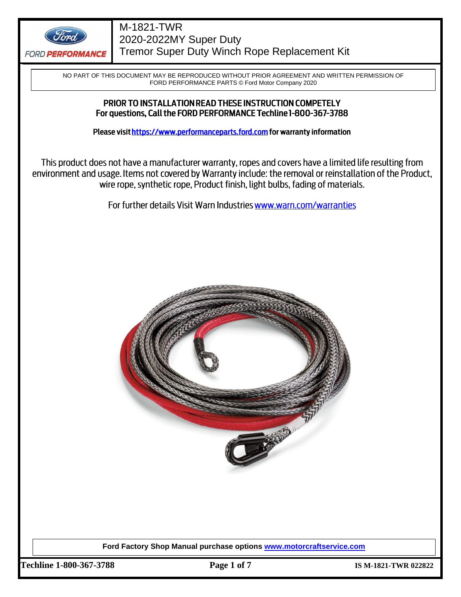

NO PART OF THIS DOCUMENT MAY BE REPRODUCED WITHOUT PRIOR AGREEMENT AND WRITTEN PERMISSION OF FORD PERFORMANCE PARTS © Ford Motor Company 2020

## PRIOR TO INSTALLATION READ THESE INSTRUCTION COMPETELY For questions, Call the FORD PERFORMANCE Techline 1-800-367-3788

Please visit https://www.performanceparts.ford.com for warranty information

This product does not have a manufacturer warranty, ropes and covers have a limited life resulting from environment and usage. Items not covered by Warranty include: the removal or reinstallation of the Product, wire rope, synthetic rope, Product finish, light bulbs, fading of materials.

For further details Visit Warn Industries www.warn.com/warranties



**Ford Factory Shop Manual purchase options [www.motorcraftservice.com](http://www.motorcraftservice.com/)**

**Techline 1-800-367-3788 Page 1 of 7 IS M-1821-TWR 022822**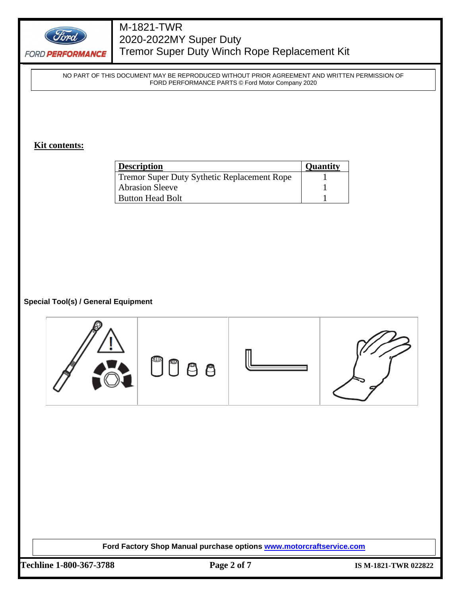

NO PART OF THIS DOCUMENT MAY BE REPRODUCED WITHOUT PRIOR AGREEMENT AND WRITTEN PERMISSION OF FORD PERFORMANCE PARTS © Ford Motor Company 2020

## **Kit contents:**

| <b>Description</b>                          | <b>Quantity</b> |
|---------------------------------------------|-----------------|
| Tremor Super Duty Sythetic Replacement Rope |                 |
| <b>Abrasion Sleeve</b>                      |                 |
| <b>Button Head Bolt</b>                     |                 |

## **Special Tool(s) / General Equipment**



**Ford Factory Shop Manual purchase options [www.motorcraftservice.com](http://www.motorcraftservice.com/)**

**Techline 1-800-367-3788 Page 2 of 7 IS M-1821-TWR 022822**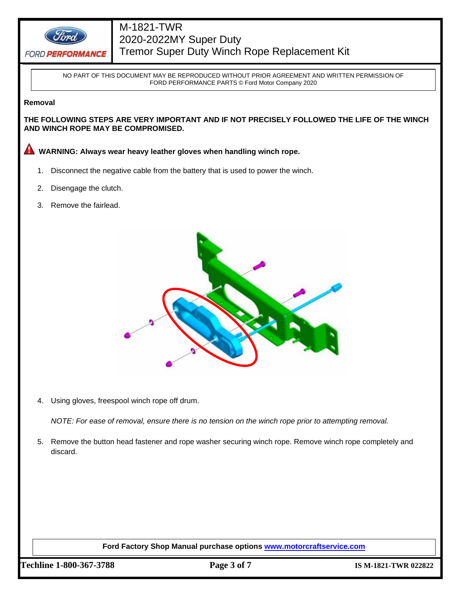

NO PART OF THIS DOCUMENT MAY BE REPRODUCED WITHOUT PRIOR AGREEMENT AND WRITTEN PERMISSION OF FORD PERFORMANCE PARTS © Ford Motor Company 2020

#### **Removal**

**THE FOLLOWING STEPS ARE VERY IMPORTANT AND IF NOT PRECISELY FOLLOWED THE LIFE OF THE WINCH AND WINCH ROPE MAY BE COMPROMISED.**

**WARNING: Always wear heavy leather gloves when handling winch rope.** 

- 1. Disconnect the negative cable from the battery that is used to power the winch.
- 2. Disengage the clutch.
- 3. Remove the fairlead.



4. Using gloves, freespool winch rope off drum.

*NOTE: For ease of removal, ensure there is no tension on the winch rope prior to attempting removal.*

5. Remove the button head fastener and rope washer securing winch rope. Remove winch rope completely and discard.

**Ford Factory Shop Manual purchase options [www.motorcraftservice.com](http://www.motorcraftservice.com/)**

**Techline 1-800-367-3788 Page 3 of 7 IS M-1821-TWR 022822**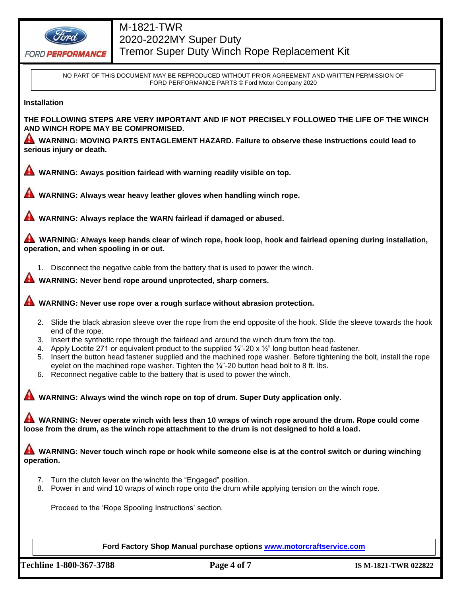

**FORD PERFORMANCE** 

# M-1821-TWR 2020-2022MY Super Duty Tremor Super Duty Winch Rope Replacement Kit

NO PART OF THIS DOCUMENT MAY BE REPRODUCED WITHOUT PRIOR AGREEMENT AND WRITTEN PERMISSION OF FORD PERFORMANCE PARTS © Ford Motor Company 2020

## **Installation**

**THE FOLLOWING STEPS ARE VERY IMPORTANT AND IF NOT PRECISELY FOLLOWED THE LIFE OF THE WINCH AND WINCH ROPE MAY BE COMPROMISED.**

**WARNING: MOVING PARTS ENTAGLEMENT HAZARD. Failure to observe these instructions could lead to serious injury or death.**

**WARNING: Aways position fairlead with warning readily visible on top.** 

**WARNING: Always wear heavy leather gloves when handling winch rope.** 

**WARNING: Always replace the WARN fairlead if damaged or abused.**

**WARNING: Always keep hands clear of winch rope, hook loop, hook and fairlead opening during installation, operation, and when spooling in or out.**

1. Disconnect the negative cable from the battery that is used to power the winch.

**WARNING: Never bend rope around unprotected, sharp corners.**

**WARNING: Never use rope over a rough surface without abrasion protection.** 

- 2. Slide the black abrasion sleeve over the rope from the end opposite of the hook. Slide the sleeve towards the hook end of the rope.
- 3. Insert the synthetic rope through the fairlead and around the winch drum from the top.
- 4. Apply Loctite 271 or equivalent product to the supplied  $\frac{1}{4}$  -20 x  $\frac{1}{2}$ " long button head fastener.
- 5. Insert the button head fastener supplied and the machined rope washer. Before tightening the bolt, install the rope eyelet on the machined rope washer. Tighten the  $\frac{1}{4}$ -20 button head bolt to 8 ft. lbs.
- 6. Reconnect negative cable to the battery that is used to power the winch.

**WARNING: Always wind the winch rope on top of drum. Super Duty application only.**

**WARNING: Never operate winch with less than 10 wraps of winch rope around the drum. Rope could come loose from the drum, as the winch rope attachment to the drum is not designed to hold a load.**

**WARNING: Never touch winch rope or hook while someone else is at the control switch or during winching operation.**

- 7. Turn the clutch lever on the winchto the "Engaged" position.
- 8. Power in and wind 10 wraps of winch rope onto the drum while applying tension on the winch rope.

Proceed to the 'Rope Spooling Instructions' section.

**Ford Factory Shop Manual purchase options [www.motorcraftservice.com](http://www.motorcraftservice.com/)**

**Techline 1-800-367-3788 Page 4 of 7 IS M-1821-TWR 022822**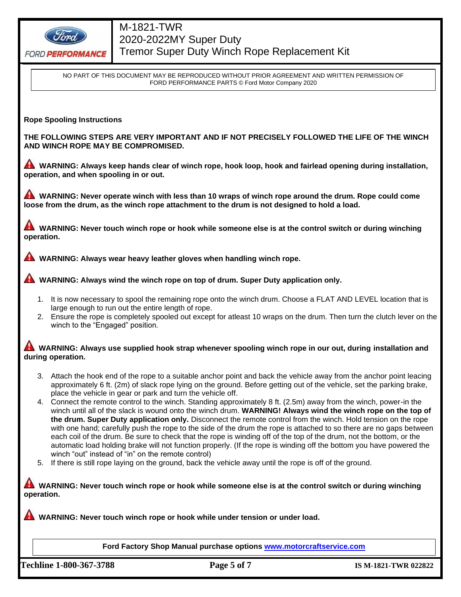

**FORD PERFORMANCE** 

# M-1821-TWR 2020-2022MY Super Duty Tremor Super Duty Winch Rope Replacement Kit

NO PART OF THIS DOCUMENT MAY BE REPRODUCED WITHOUT PRIOR AGREEMENT AND WRITTEN PERMISSION OF FORD PERFORMANCE PARTS © Ford Motor Company 2020

#### **Rope Spooling Instructions**

**THE FOLLOWING STEPS ARE VERY IMPORTANT AND IF NOT PRECISELY FOLLOWED THE LIFE OF THE WINCH AND WINCH ROPE MAY BE COMPROMISED.**

**WARNING: Always keep hands clear of winch rope, hook loop, hook and fairlead opening during installation, operation, and when spooling in or out.**

**WARNING: Never operate winch with less than 10 wraps of winch rope around the drum. Rope could come loose from the drum, as the winch rope attachment to the drum is not designed to hold a load.**

WARNING: Never touch winch rope or hook while someone else is at the control switch or during winching **operation.**

**WARNING: Always wear heavy leather gloves when handling winch rope.** 

**WARNING: Always wind the winch rope on top of drum. Super Duty application only.** 

- 1. It is now necessary to spool the remaining rope onto the winch drum. Choose a FLAT AND LEVEL location that is large enough to run out the entire length of rope.
- 2. Ensure the rope is completely spooled out except for atleast 10 wraps on the drum. Then turn the clutch lever on the winch to the "Engaged" position.

## **WARNING: Always use supplied hook strap whenever spooling winch rope in our out, during installation and during operation.**

- 3. Attach the hook end of the rope to a suitable anchor point and back the vehicle away from the anchor point leacing approximately 6 ft. (2m) of slack rope lying on the ground. Before getting out of the vehicle, set the parking brake, place the vehicle in gear or park and turn the vehicle off.
- 4. Connect the remote control to the winch. Standing approximately 8 ft. (2.5m) away from the winch, power-in the winch until all of the slack is wound onto the winch drum. **WARNING! Always wind the winch rope on the top of the drum. Super Duty application only.** Disconnect the remote control from the winch. Hold tension on the rope with one hand; carefully push the rope to the side of the drum the rope is attached to so there are no gaps between each coil of the drum. Be sure to check that the rope is winding off of the top of the drum, not the bottom, or the automatic load holding brake will not function properly. (If the rope is winding off the bottom you have powered the winch "out" instead of "in" on the remote control)
- 5. If there is still rope laying on the ground, back the vehicle away until the rope is off of the ground.

**WARNING: Never touch winch rope or hook while someone else is at the control switch or during winching operation.**

**WARNING: Never touch winch rope or hook while under tension or under load.** 

**Ford Factory Shop Manual purchase options [www.motorcraftservice.com](http://www.motorcraftservice.com/)**

**Techline 1-800-367-3788 Page 5 of 7 IS M-1821-TWR 022822**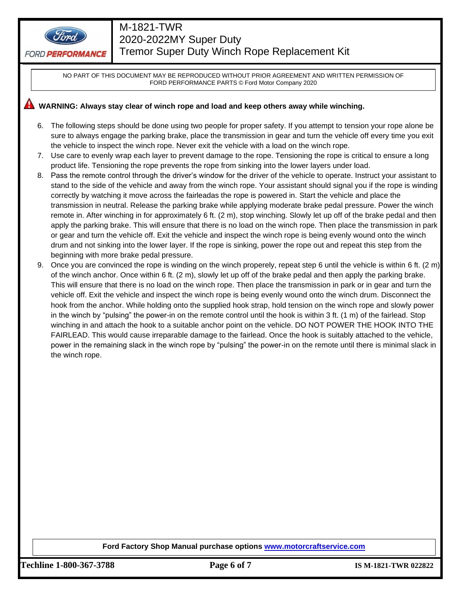

NO PART OF THIS DOCUMENT MAY BE REPRODUCED WITHOUT PRIOR AGREEMENT AND WRITTEN PERMISSION OF FORD PERFORMANCE PARTS © Ford Motor Company 2020

# WARNING: Always stay clear of winch rope and load and keep others away while winching.

- 6. The following steps should be done using two people for proper safety. If you attempt to tension your rope alone be sure to always engage the parking brake, place the transmission in gear and turn the vehicle off every time you exit the vehicle to inspect the winch rope. Never exit the vehicle with a load on the winch rope.
- 7. Use care to evenly wrap each layer to prevent damage to the rope. Tensioning the rope is critical to ensure a long product life. Tensioning the rope prevents the rope from sinking into the lower layers under load.
- 8. Pass the remote control through the driver's window for the driver of the vehicle to operate. Instruct your assistant to stand to the side of the vehicle and away from the winch rope. Your assistant should signal you if the rope is winding correctly by watching it move across the fairleadas the rope is powered in. Start the vehicle and place the transmission in neutral. Release the parking brake while applying moderate brake pedal pressure. Power the winch remote in. After winching in for approximately 6 ft. (2 m), stop winching. Slowly let up off of the brake pedal and then apply the parking brake. This will ensure that there is no load on the winch rope. Then place the transmission in park or gear and turn the vehicle off. Exit the vehicle and inspect the winch rope is being evenly wound onto the winch drum and not sinking into the lower layer. If the rope is sinking, power the rope out and repeat this step from the beginning with more brake pedal pressure.
- 9. Once you are convinced the rope is winding on the winch properely, repeat step 6 until the vehicle is within 6 ft.  $(2 \text{ m})$ of the winch anchor. Once within 6 ft. (2 m), slowly let up off of the brake pedal and then apply the parking brake. This will ensure that there is no load on the winch rope. Then place the transmission in park or in gear and turn the vehicle off. Exit the vehicle and inspect the winch rope is being evenly wound onto the winch drum. Disconnect the hook from the anchor. While holding onto the supplied hook strap, hold tension on the winch rope and slowly power in the winch by "pulsing" the power-in on the remote control until the hook is within 3 ft. (1 m) of the fairlead. Stop winching in and attach the hook to a suitable anchor point on the vehicle. DO NOT POWER THE HOOK INTO THE FAIRLEAD. This would cause irreparable damage to the fairlead. Once the hook is suitably attached to the vehicle, power in the remaining slack in the winch rope by "pulsing" the power-in on the remote until there is minimal slack in the winch rope.

#### **Ford Factory Shop Manual purchase options [www.motorcraftservice.com](http://www.motorcraftservice.com/)**

**Techline 1-800-367-3788 Page 6 of 7 IS M-1821-TWR 022822**